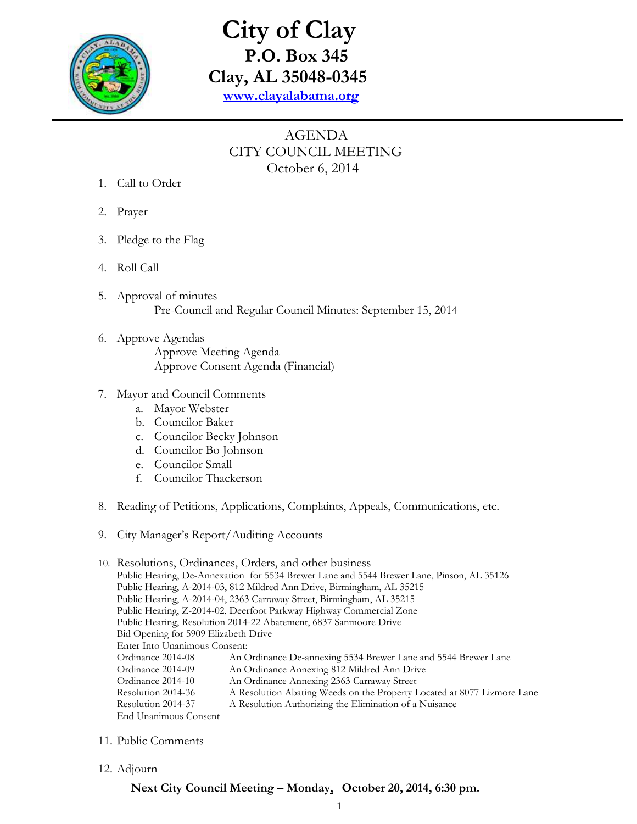

## **City of Clay P.O. Box 345 Clay, AL 35048-0345 [www.clayalabama.org](http://www.clayalabama.org/)**

## AGENDA CITY COUNCIL MEETING October 6, 2014

- 1. Call to Order
- 2. Prayer
- 3. Pledge to the Flag
- 4. Roll Call
- 5. Approval of minutes Pre-Council and Regular Council Minutes: September 15, 2014
- 6. Approve Agendas Approve Meeting Agenda Approve Consent Agenda (Financial)
- 7. Mayor and Council Comments
	- a. Mayor Webster
	- b. Councilor Baker
	- c. Councilor Becky Johnson
	- d. Councilor Bo Johnson
	- e. Councilor Small
	- f. Councilor Thackerson
- 8. Reading of Petitions, Applications, Complaints, Appeals, Communications, etc.
- 9. City Manager's Report/Auditing Accounts

## 10. Resolutions, Ordinances, Orders, and other business Public Hearing, De-Annexation for 5534 Brewer Lane and 5544 Brewer Lane, Pinson, AL 35126 Public Hearing, A-2014-03, 812 Mildred Ann Drive, Birmingham, AL 35215 Public Hearing, A-2014-04, 2363 Carraway Street, Birmingham, AL 35215 Public Hearing, Z-2014-02, Deerfoot Parkway Highway Commercial Zone Public Hearing, Resolution 2014-22 Abatement, 6837 Sanmoore Drive Bid Opening for 5909 Elizabeth Drive Enter Into Unanimous Consent: Ordinance 2014-08 An Ordinance De-annexing 5534 Brewer Lane and 5544 Brewer Lane Ordinance 2014-09 An Ordinance Annexing 812 Mildred Ann Drive Ordinance 2014-10 An Ordinance Annexing 2363 Carraway Street Resolution 2014-36 A Resolution Abating Weeds on the Property Located at 8077 Lizmore Lane Resolution 2014-37 A Resolution Authorizing the Elimination of a Nuisance End Unanimous Consent

- 11. Public Comments
- 12. Adjourn

## **Next City Council Meeting – Monday, October 20, 2014, 6:30 pm.**